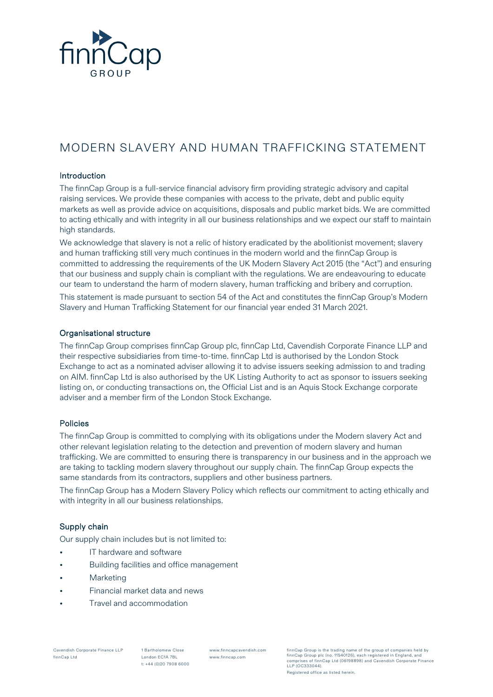

# MODERN SLAVERY AND HUMAN TRAFFICKING STATEMENT

## Introduction

The finnCap Group is a full-service financial advisory firm providing strategic advisory and capital raising services. We provide these companies with access to the private, debt and public equity markets as well as provide advice on acquisitions, disposals and public market bids. We are committed to acting ethically and with integrity in all our business relationships and we expect our staff to maintain high standards.

We acknowledge that slavery is not a relic of history eradicated by the abolitionist movement; slavery and human trafficking still very much continues in the modern world and the finnCap Group is committed to addressing the requirements of the UK Modern Slavery Act 2015 (the "Act") and ensuring that our business and supply chain is compliant with the regulations. We are endeavouring to educate our team to understand the harm of modern slavery, human trafficking and bribery and corruption.

This statement is made pursuant to section 54 of the Act and constitutes the finnCap Group's Modern Slavery and Human Trafficking Statement for our financial year ended 31 March 2021.

## Organisational structure

The finnCap Group comprises finnCap Group plc, finnCap Ltd, Cavendish Corporate Finance LLP and their respective subsidiaries from time-to-time. finnCap Ltd is authorised by the London Stock Exchange to act as a nominated adviser allowing it to advise issuers seeking admission to and trading on AIM. finnCap Ltd is also authorised by the UK Listing Authority to act as sponsor to issuers seeking listing on, or conducting transactions on, the Official List and is an Aquis Stock Exchange corporate adviser and a member firm of the London Stock Exchange.

## Policies

The finnCap Group is committed to complying with its obligations under the Modern slavery Act and other relevant legislation relating to the detection and prevention of modern slavery and human trafficking. We are committed to ensuring there is transparency in our business and in the approach we are taking to tackling modern slavery throughout our supply chain. The finnCap Group expects the same standards from its contractors, suppliers and other business partners.

The finnCap Group has a Modern Slavery Policy which reflects our commitment to acting ethically and with integrity in all our business relationships.

#### Supply chain

Our supply chain includes but is not limited to:

- IT hardware and software
- Building facilities and office management
- **Marketing**
- Financial market data and news
- Travel and accommodation